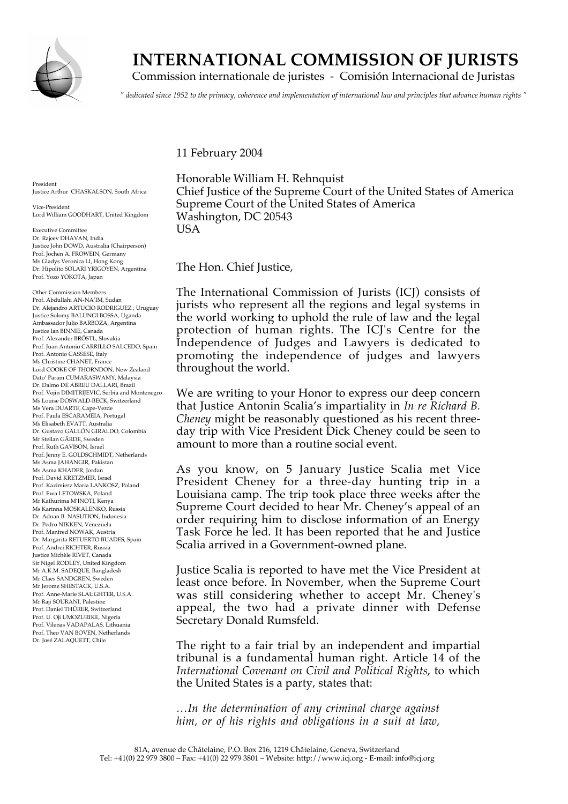

## **INTERNATIONAL COMMISSION OF JURISTS**

Commission internationale de juristes - Comisión Internacional de Juristas

*" dedicated since 1952 to the primacy, coherence and implementation of international law and principles that advance human rights "*

11 February 2004

President Justice Arthur CHASKALSON, South Africa

Vice-President Lord William GOODHART, United Kingdom

Executive Committee Dr. Rajeev DHAVAN, India Justice John DOWD, Australia (Chairperson) Prof. Jochen A. FROWEIN, Germany Ms Gladys Veronica LI, Hong Kong Dr. Hipolito SOLARI YRIGOYEN, Argentina Prof. Yozo YOKOTA, Japan

Other Commission Members Prof. Abdullahi AN-NA'IM, Sudan Dr. Alejandro ARTUCIO RODRIGUEZ , Uruguay Justice Solomy BALUNGI BOSSA, Uganda Ambassador Julio BARBOZA, Argentina Justice Ian BINNIE, Canada Prof. Alexander BRÖSTL, Slovakia Prof. Juan Antonio CARRILLO SALCEDO, Spain Prof. Antonio CASSESE, Italy Ms Christine CHANET, France Lord COOKE OF THORNDON, New Zealand Dato' Param CUMARASWAMY, Malaysia Dr. Dalmo DE ABREU DALLARI, Brazil Prof. Vojin DIMITRIJEVIC, Serbia and Montenegro Ms Louise DOSWALD-BECK, Switzerland Ms Vera DUARTE, Cape-Verde Prof. Paula ESCARAMEIA, Portugal Ms Elisabeth EVATT, Australia Dr. Gustavo GALLÓN GIRALDO, Colombia Mr Stellan GÄRDE, Sweden Prof. Ruth GAVISON, Israel Prof. Jenny E. GOLDSCHMIDT, Netherlands Ms Asma JAHANGIR, Pakistan Ms Asma KHADER, Jordan Prof. David KRETZMER, Israel Prof. Kazimierz Maria LANKOSZ, Poland Prof. Ewa LETOWSKA, Poland Mr Kathurima M'INOTI, Kenya Ms Karinna MOSKALENKO, Russia Dr. Adnan B. NASUTION, Indonesia Dr. Pedro NIKKEN, Venezuela Prof. Manfred NOWAK, Austria Dr. Margarita RETUERTO BUADES, Spain Prof. Andrei RICHTER, Russia Justice Michèle RIVET, Canada Sir Nigel RODLEY, United Kingdom Mr A.K.M. SADEQUE, Bangladesh Mr Claes SANDGREN, Sweden Mr Jerome SHESTACK, U.S.A. Prof. Anne-Marie SLAUGHTER, U.S.A. Mr Raji SOURANI, Palestine Prof. Daniel THÜRER, Switzerland Prof. U. Oji UMOZURIKE, Nigeria Prof. Vilenas VADAPALAS, Lithuania Prof. Theo VAN BOVEN, Netherlands Dr. José ZALAQUETT, Chile

Honorable William H. Rehnquist Chief Justice of the Supreme Court of the United States of America Supreme Court of the United States of America Washington, DC 20543 USA

The Hon. Chief Justice,

The International Commission of Jurists (ICJ) consists of jurists who represent all the regions and legal systems in the world working to uphold the rule of law and the legal protection of human rights. The ICJ's Centre for the Independence of Judges and Lawyers is dedicated to promoting the independence of judges and lawyers throughout the world.

We are writing to your Honor to express our deep concern that Justice Antonin Scalia's impartiality in *In re Richard B. Cheney* might be reasonably questioned as his recent threeday trip with Vice President Dick Cheney could be seen to amount to more than a routine social event.

As you know, on 5 January Justice Scalia met Vice President Cheney for a three-day hunting trip in a Louisiana camp. The trip took place three weeks after the Supreme Court decided to hear Mr. Cheney's appeal of an order requiring him to disclose information of an Energy Task Force he led. It has been reported that he and Justice Scalia arrived in a Government-owned plane.

Justice Scalia is reported to have met the Vice President at least once before. In November, when the Supreme Court was still considering whether to accept Mr. Cheney's appeal, the two had a private dinner with Defense Secretary Donald Rumsfeld.

The right to a fair trial by an independent and impartial tribunal is a fundamental human right. Article 14 of the *International Covenant on Civil and Political Rights*, to which the United States is a party, states that:

*…In the determination of any criminal charge against him, or of his rights and obligations in a suit at law,*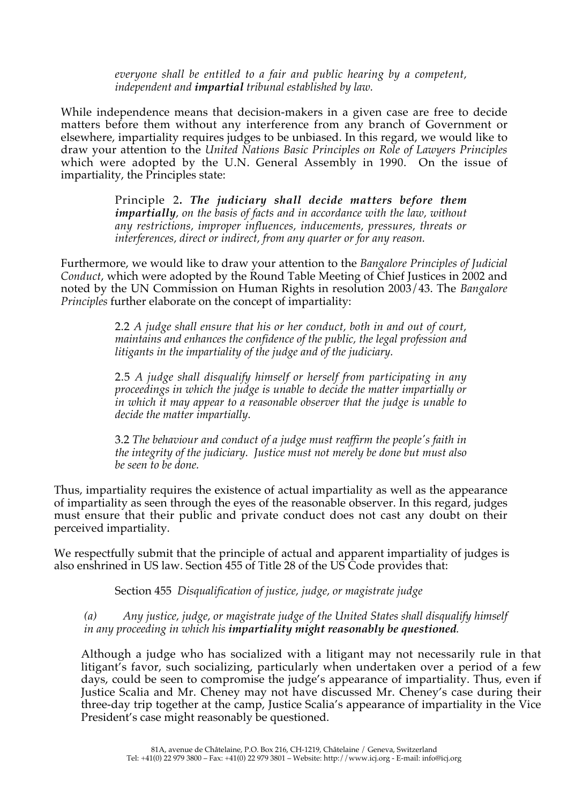*everyone shall be entitled to a fair and public hearing by a competent, independent and impartial tribunal established by law.*

While independence means that decision-makers in a given case are free to decide matters before them without any interference from any branch of Government or elsewhere, impartiality requires judges to be unbiased. In this regard, we would like to draw your attention to the *United Nations Basic Principles on Role of Lawyers Principles* which were adopted by the U.N. General Assembly in 1990. On the issue of impartiality, the Principles state:

> Principle 2*. The judiciary shall decide matters before them impartially, on the basis of facts and in accordance with the law, without any restrictions, improper influences, inducements, pressures, threats or interferences, direct or indirect, from any quarter or for any reason.*

Furthermore, we would like to draw your attention to the *Bangalore Principles of Judicial Conduct*, which were adopted by the Round Table Meeting of Chief Justices in 2002 and noted by the UN Commission on Human Rights in resolution 2003/43. The *Bangalore Principles* further elaborate on the concept of impartiality:

> 2.2 *A judge shall ensure that his or her conduct, both in and out of court, maintains and enhances the confidence of the public, the legal profession and litigants in the impartiality of the judge and of the judiciary.*

> 2.5 *A judge shall disqualify himself or herself from participating in any proceedings in which the judge is unable to decide the matter impartially or in which it may appear to a reasonable observer that the judge is unable to decide the matter impartially.*

> 3.2 *The behaviour and conduct of a judge must reaffirm the people's faith in the integrity of the judiciary. Justice must not merely be done but must also be seen to be done.*

Thus, impartiality requires the existence of actual impartiality as well as the appearance of impartiality as seen through the eyes of the reasonable observer. In this regard, judges must ensure that their public and private conduct does not cast any doubt on their perceived impartiality.

We respectfully submit that the principle of actual and apparent impartiality of judges is also enshrined in US law. Section 455 of Title 28 of the US Code provides that:

Section 455 *Disqualification of justice, judge, or magistrate judge*

*(a) Any justice, judge, or magistrate judge of the United States shall disqualify himself in any proceeding in which his impartiality might reasonably be questioned.*

Although a judge who has socialized with a litigant may not necessarily rule in that litigant's favor, such socializing, particularly when undertaken over a period of a few days, could be seen to compromise the judge's appearance of impartiality. Thus, even if Justice Scalia and Mr. Cheney may not have discussed Mr. Cheney's case during their three-day trip together at the camp, Justice Scalia's appearance of impartiality in the Vice President's case might reasonably be questioned.